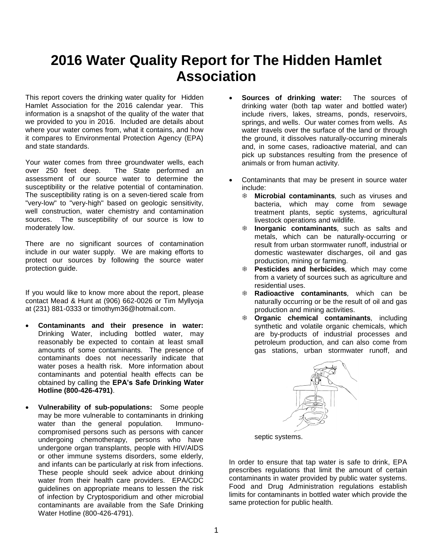# **2016 Water Quality Report for The Hidden Hamlet Association**

This report covers the drinking water quality for Hidden Hamlet Association for the 2016 calendar year. This information is a snapshot of the quality of the water that we provided to you in 2016. Included are details about where your water comes from, what it contains, and how it compares to Environmental Protection Agency (EPA) and state standards.

Your water comes from three groundwater wells, each over 250 feet deep. The State performed an assessment of our source water to determine the susceptibility or the relative potential of contamination. The susceptibility rating is on a seven-tiered scale from "very-low" to "very-high" based on geologic sensitivity, well construction, water chemistry and contamination sources. The susceptibility of our source is low to moderately low.

There are no significant sources of contamination include in our water supply. We are making efforts to protect our sources by following the source water protection guide.

If you would like to know more about the report, please contact Mead & Hunt at (906) 662-0026 or Tim Myllyoja at (231) 881-0333 or timothym36@hotmail.com.

- **Contaminants and their presence in water:**  Drinking Water, including bottled water, may reasonably be expected to contain at least small amounts of some contaminants. The presence of contaminants does not necessarily indicate that water poses a health risk. More information about contaminants and potential health effects can be obtained by calling the **EPA's Safe Drinking Water Hotline (800-426-4791)**.
- **Vulnerability of sub-populations:** Some people may be more vulnerable to contaminants in drinking water than the general population. Immunocompromised persons such as persons with cancer undergoing chemotherapy, persons who have undergone organ transplants, people with HIV/AIDS or other immune systems disorders, some elderly, and infants can be particularly at risk from infections. These people should seek advice about drinking water from their health care providers. EPA/CDC guidelines on appropriate means to lessen the risk of infection by Cryptosporidium and other microbial contaminants are available from the Safe Drinking Water Hotline (800-426-4791).
- **Sources of drinking water:** The sources of drinking water (both tap water and bottled water) include rivers, lakes, streams, ponds, reservoirs, springs, and wells. Our water comes from wells. As water travels over the surface of the land or through the ground, it dissolves naturally-occurring minerals and, in some cases, radioactive material, and can pick up substances resulting from the presence of animals or from human activity.
- Contaminants that may be present in source water include:
	- **Microbial contaminants***,* such as viruses and bacteria, which may come from sewage treatment plants, septic systems, agricultural livestock operations and wildlife.
	- **Inorganic contaminants***,* such as salts and metals, which can be naturally-occurring or result from urban stormwater runoff, industrial or domestic wastewater discharges, oil and gas production, mining or farming.
	- **Pesticides and herbicides***,* which may come from a variety of sources such as agriculture and residential uses.
	- **Radioactive contaminants***,* which can be naturally occurring or be the result of oil and gas production and mining activities.
	- **Organic chemical contaminants***,* including synthetic and volatile organic chemicals, which are by-products of industrial processes and petroleum production, and can also come from gas stations, urban stormwater runoff, and



septic systems.

In order to ensure that tap water is safe to drink, EPA prescribes regulations that limit the amount of certain contaminants in water provided by public water systems. Food and Drug Administration regulations establish limits for contaminants in bottled water which provide the same protection for public health.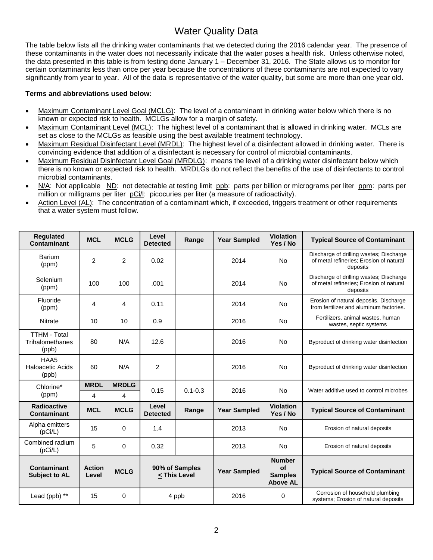## Water Quality Data

The table below lists all the drinking water contaminants that we detected during the 2016 calendar year. The presence of these contaminants in the water does not necessarily indicate that the water poses a health risk. Unless otherwise noted, the data presented in this table is from testing done January 1 – December 31, 2016. The State allows us to monitor for certain contaminants less than once per year because the concentrations of these contaminants are not expected to vary significantly from year to year. All of the data is representative of the water quality, but some are more than one year old.

### **Terms and abbreviations used below:**

- Maximum Contaminant Level Goal (MCLG): The level of a contaminant in drinking water below which there is no known or expected risk to health. MCLGs allow for a margin of safety.
- Maximum Contaminant Level (MCL): The highest level of a contaminant that is allowed in drinking water. MCLs are set as close to the MCLGs as feasible using the best available treatment technology.
- Maximum Residual Disinfectant Level (MRDL): The highest level of a disinfectant allowed in drinking water. There is convincing evidence that addition of a disinfectant is necessary for control of microbial contaminants.
- Maximum Residual Disinfectant Level Goal (MRDLG): means the level of a drinking water disinfectant below which there is no known or expected risk to health. MRDLGs do not reflect the benefits of the use of disinfectants to control microbial contaminants.
- N/A: Not applicable ND: not detectable at testing limit ppb: parts per billion or micrograms per liter ppm: parts per million or milligrams per liter pCi/l: picocuries per liter (a measure of radioactivity).
- Action Level (AL): The concentration of a contaminant which, if exceeded, triggers treatment or other requirements that a water system must follow.

| <b>Regulated</b><br>Contaminant                 | <b>MCL</b>             | <b>MCLG</b>    | Level<br><b>Detected</b>       | Range       | <b>Year Sampled</b> | <b>Violation</b><br>Yes / No                                    | <b>Typical Source of Contaminant</b>                                                           |
|-------------------------------------------------|------------------------|----------------|--------------------------------|-------------|---------------------|-----------------------------------------------------------------|------------------------------------------------------------------------------------------------|
| Barium<br>(ppm)                                 | 2                      | $\overline{2}$ | 0.02                           |             | 2014                | <b>No</b>                                                       | Discharge of drilling wastes; Discharge<br>of metal refineries; Erosion of natural<br>deposits |
| Selenium<br>(ppm)                               | 100                    | 100            | .001                           |             | 2014                | <b>No</b>                                                       | Discharge of drilling wastes; Discharge<br>of metal refineries; Erosion of natural<br>deposits |
| Fluoride<br>(ppm)                               | 4                      | 4              | 0.11                           |             | 2014                | No                                                              | Erosion of natural deposits. Discharge<br>from fertilizer and aluminum factories.              |
| Nitrate                                         | 10                     | 10             | 0.9                            |             | 2016                | <b>No</b>                                                       | Fertilizers, animal wastes, human<br>wastes, septic systems                                    |
| <b>TTHM - Total</b><br>Trihalomethanes<br>(ppb) | 80                     | N/A            | 12.6                           |             | 2016                | No                                                              | Byproduct of drinking water disinfection                                                       |
| HAA5<br><b>Haloacetic Acids</b><br>(ppb)        | 60                     | N/A            | $\overline{2}$                 |             | 2016                | <b>No</b>                                                       | Byproduct of drinking water disinfection                                                       |
| Chlorine*                                       | <b>MRDL</b>            | <b>MRDLG</b>   | 0.15                           | $0.1 - 0.3$ | 2016                | <b>No</b>                                                       | Water additive used to control microbes                                                        |
| (ppm)                                           | 4                      | 4              |                                |             |                     |                                                                 |                                                                                                |
| <b>Radioactive</b><br>Contaminant               | <b>MCL</b>             | <b>MCLG</b>    | Level<br><b>Detected</b>       | Range       | <b>Year Sampled</b> | <b>Violation</b><br>Yes / No                                    | <b>Typical Source of Contaminant</b>                                                           |
| Alpha emitters<br>(pCi/L)                       | 15                     | $\Omega$       | 1.4                            |             | 2013                | <b>No</b>                                                       | Erosion of natural deposits                                                                    |
| Combined radium<br>(pCi/L)                      | 5                      | $\Omega$       | 0.32                           |             | 2013                | <b>No</b>                                                       | Erosion of natural deposits                                                                    |
| Contaminant<br><b>Subject to AL</b>             | <b>Action</b><br>Level | <b>MCLG</b>    | 90% of Samples<br>< This Level |             | <b>Year Sampled</b> | <b>Number</b><br><b>of</b><br><b>Samples</b><br><b>Above AL</b> | <b>Typical Source of Contaminant</b>                                                           |
| Lead (ppb) **                                   | 15                     | 0              | 4 ppb                          |             | 2016                | 0                                                               | Corrosion of household plumbing<br>systems; Erosion of natural deposits                        |